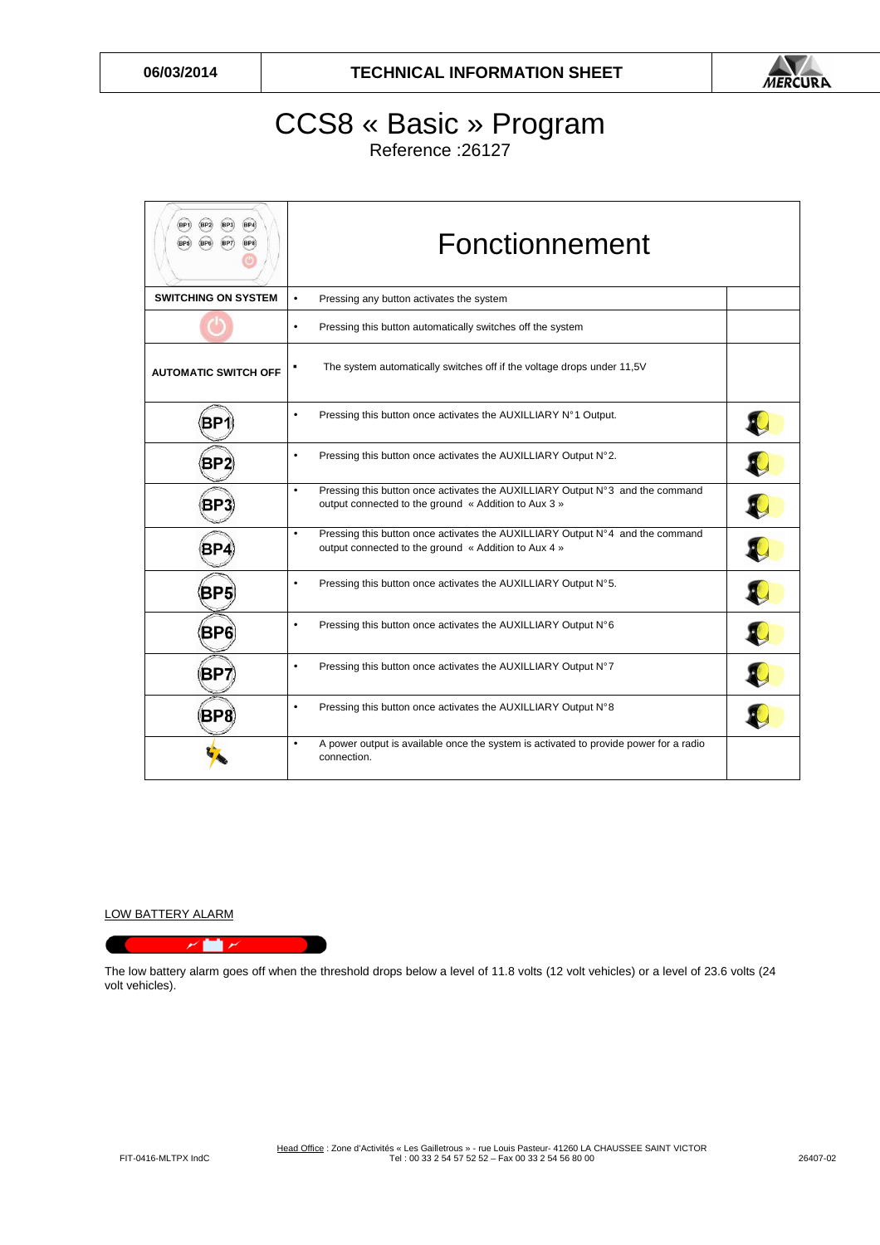

## CCS8 « Basic » Program

Reference :26127

| BP4<br>BP1<br>(BP7)<br>BP8<br>(BP5)<br>(BP6) | Fonctionnement                                                                                                                                     |  |  |  |  |  |  |
|----------------------------------------------|----------------------------------------------------------------------------------------------------------------------------------------------------|--|--|--|--|--|--|
| <b>SWITCHING ON SYSTEM</b>                   | Pressing any button activates the system<br>$\bullet$                                                                                              |  |  |  |  |  |  |
|                                              | Pressing this button automatically switches off the system<br>$\bullet$                                                                            |  |  |  |  |  |  |
| <b>AUTOMATIC SWITCH OFF</b>                  | The system automatically switches off if the voltage drops under 11,5V                                                                             |  |  |  |  |  |  |
| BP                                           | Pressing this button once activates the AUXILLIARY N°1 Output.<br>٠                                                                                |  |  |  |  |  |  |
| BP:                                          | Pressing this button once activates the AUXILLIARY Output N°2.<br>$\bullet$                                                                        |  |  |  |  |  |  |
| BP.                                          | Pressing this button once activates the AUXILLIARY Output N°3 and the command<br>$\bullet$<br>output connected to the ground « Addition to Aux 3 » |  |  |  |  |  |  |
| ВP                                           | Pressing this button once activates the AUXILLIARY Output N°4 and the command<br>$\bullet$<br>output connected to the ground « Addition to Aux 4 » |  |  |  |  |  |  |
| BP5                                          | Pressing this button once activates the AUXILLIARY Output N°5.<br>$\bullet$                                                                        |  |  |  |  |  |  |
| BP6                                          | Pressing this button once activates the AUXILLIARY Output N°6<br>$\bullet$                                                                         |  |  |  |  |  |  |
| BP7                                          | Pressing this button once activates the AUXILLIARY Output N°7<br>٠                                                                                 |  |  |  |  |  |  |
| BP8                                          | Pressing this button once activates the AUXILLIARY Output N°8<br>$\bullet$                                                                         |  |  |  |  |  |  |
|                                              | A power output is available once the system is activated to provide power for a radio<br>$\bullet$<br>connection.                                  |  |  |  |  |  |  |

LOW BATTERY ALARM



The low battery alarm goes off when the threshold drops below a level of 11.8 volts (12 volt vehicles) or a level of 23.6 volts (24 volt vehicles).